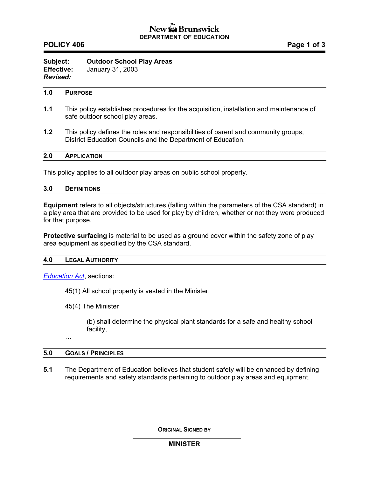# New & Brunswick **DEPARTMENT OF EDUCATION**

## **POLICY 406** POLICY 406

**Subject: Outdoor School Play Areas** **Effective:** January 31, 2003 *Revised:* 

#### **1.0 PURPOSE**

- **1.1** This policy establishes procedures for the acquisition, installation and maintenance of safe outdoor school play areas.
- **1.2** This policy defines the roles and responsibilities of parent and community groups, District Education Councils and the Department of Education.

### **2.0 APPLICATION**

This policy applies to all outdoor play areas on public school property.

| 3.0 | <b>DEFINITIONS</b><br>______ |  |  |  |  |
|-----|------------------------------|--|--|--|--|
|-----|------------------------------|--|--|--|--|

**Equipment** refers to all objects/structures (falling within the parameters of the CSA standard) in a play area that are provided to be used for play by children, whether or not they were produced for that purpose.

**Protective surfacing** is material to be used as a ground cover within the safety zone of play area equipment as specified by the CSA standard.

#### **4.0 LEGAL AUTHORITY**

*[Education Act](http://www.gnb.ca/acts/acts/e-01-12.htm)*, sections:

45(1) All school property is vested in the Minister.

45(4) The Minister

(b) shall determine the physical plant standards for a safe and healthy school facility,

…

#### **5.0 GOALS / PRINCIPLES**

**5.1** The Department of Education believes that student safety will be enhanced by defining requirements and safety standards pertaining to outdoor play areas and equipment.

**ORIGINAL SIGNED BY**

### **MINISTER**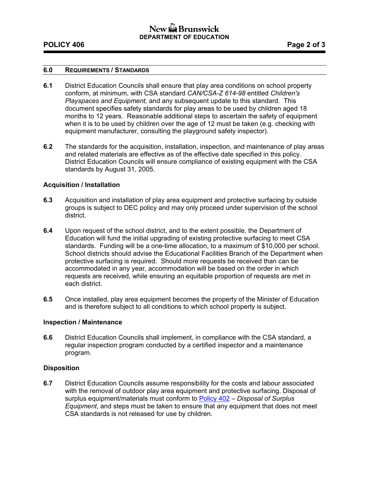# New GBrunswick **DEPARTMENT OF EDUCATION**

## **POLICY 406** POLICY 406

### **6.0 REQUIREMENTS / STANDARDS**

- **6.1** District Education Councils shall ensure that play area conditions on school property conform, at minimum, with CSA standard *CAN/CSA-Z 614-98* entitled *Children's Playspaces and Equipment,* and any subsequent update to this standard. This document specifies safety standards for play areas to be used by children aged 18 months to 12 years. Reasonable additional steps to ascertain the safety of equipment when it is to be used by children over the age of 12 must be taken (e.g. checking with equipment manufacturer, consulting the playground safety inspector).
- **6.2** The standards for the acquisition, installation, inspection, and maintenance of play areas and related materials are effective as of the effective date specified in this policy. District Education Councils will ensure compliance of existing equipment with the CSA standards by August 31, 2005.

### **Acquisition / Installation**

- **6.3** Acquisition and installation of play area equipment and protective surfacing by outside groups is subject to DEC policy and may only proceed under supervision of the school district.
- **6.4** Upon request of the school district, and to the extent possible, the Department of Education will fund the initial upgrading of existing protective surfacing to meet CSA standards. Funding will be a one-time allocation, to a maximum of \$10,000 per school. School districts should advise the Educational Facilities Branch of the Department when protective surfacing is required. Should more requests be received than can be accommodated in any year, accommodation will be based on the order in which requests are received, while ensuring an equitable proportion of requests are met in each district.
- **6.5** Once installed, play area equipment becomes the property of the Minister of Education and is therefore subject to all conditions to which school property is subject.

### **Inspection / Maintenance**

**6.6** District Education Councils shall implement, in compliance with the CSA standard, a regular inspection program conducted by a certified inspector and a maintenance program.

### **Disposition**

**6.7** District Education Councils assume responsibility for the costs and labour associated with the removal of outdoor play area equipment and protective surfacing. Disposal of surplus equipment/materials must conform to [Policy 402](http://www.gnb.ca/0000/pol/e/402A.pdf) – *Disposal of Surplus Equipment*, and steps must be taken to ensure that any equipment that does not meet CSA standards is not released for use by children.